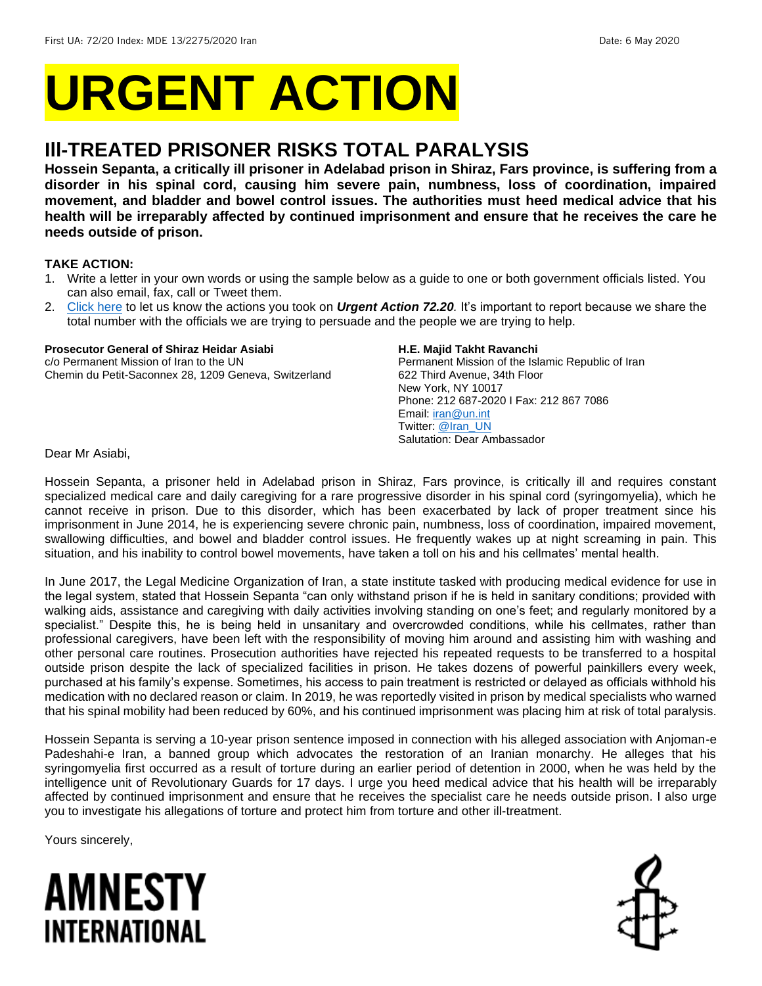# **URGENT ACTION**

### **Ill-TREATED PRISONER RISKS TOTAL PARALYSIS**

**Hossein Sepanta, a critically ill prisoner in Adelabad prison in Shiraz, Fars province, is suffering from a disorder in his spinal cord, causing him severe pain, numbness, loss of coordination, impaired movement, and bladder and bowel control issues. The authorities must heed medical advice that his health will be irreparably affected by continued imprisonment and ensure that he receives the care he needs outside of prison.** 

#### **TAKE ACTION:**

- 1. Write a letter in your own words or using the sample below as a guide to one or both government officials listed. You can also email, fax, call or Tweet them.
- 2. [Click here](https://www.amnestyusa.org/report-urgent-actions/) to let us know the actions you took on *Urgent Action 72.20.* It's important to report because we share the total number with the officials we are trying to persuade and the people we are trying to help.

#### **Prosecutor General of Shiraz Heidar Asiabi**

c/o Permanent Mission of Iran to the UN Chemin du Petit-Saconnex 28, 1209 Geneva, Switzerland

#### **H.E. Majid Takht Ravanchi**

Permanent Mission of the Islamic Republic of Iran 622 Third Avenue, 34th Floor New York, NY 10017 Phone: 212 687-2020 I Fax: 212 867 7086 Email[: iran@un.int](mailto:iran@un.int) Twitter: [@Iran\\_UN](https://twitter.com/iran_un?lang=en) Salutation: Dear Ambassador

Dear Mr Asiabi,

Hossein Sepanta, a prisoner held in Adelabad prison in Shiraz, Fars province, is critically ill and requires constant specialized medical care and daily caregiving for a rare progressive disorder in his spinal cord (syringomyelia), which he cannot receive in prison. Due to this disorder, which has been exacerbated by lack of proper treatment since his imprisonment in June 2014, he is experiencing severe chronic pain, numbness, loss of coordination, impaired movement, swallowing difficulties, and bowel and bladder control issues. He frequently wakes up at night screaming in pain. This situation, and his inability to control bowel movements, have taken a toll on his and his cellmates' mental health.

In June 2017, the Legal Medicine Organization of Iran, a state institute tasked with producing medical evidence for use in the legal system, stated that Hossein Sepanta "can only withstand prison if he is held in sanitary conditions; provided with walking aids, assistance and caregiving with daily activities involving standing on one's feet; and regularly monitored by a specialist." Despite this, he is being held in unsanitary and overcrowded conditions, while his cellmates, rather than professional caregivers, have been left with the responsibility of moving him around and assisting him with washing and other personal care routines. Prosecution authorities have rejected his repeated requests to be transferred to a hospital outside prison despite the lack of specialized facilities in prison. He takes dozens of powerful painkillers every week, purchased at his family's expense. Sometimes, his access to pain treatment is restricted or delayed as officials withhold his medication with no declared reason or claim. In 2019, he was reportedly visited in prison by medical specialists who warned that his spinal mobility had been reduced by 60%, and his continued imprisonment was placing him at risk of total paralysis.

Hossein Sepanta is serving a 10-year prison sentence imposed in connection with his alleged association with Anjoman-e Padeshahi-e Iran, a banned group which advocates the restoration of an Iranian monarchy. He alleges that his syringomyelia first occurred as a result of torture during an earlier period of detention in 2000, when he was held by the intelligence unit of Revolutionary Guards for 17 days. I urge you heed medical advice that his health will be irreparably affected by continued imprisonment and ensure that he receives the specialist care he needs outside prison. I also urge you to investigate his allegations of torture and protect him from torture and other ill-treatment.

Yours sincerely,